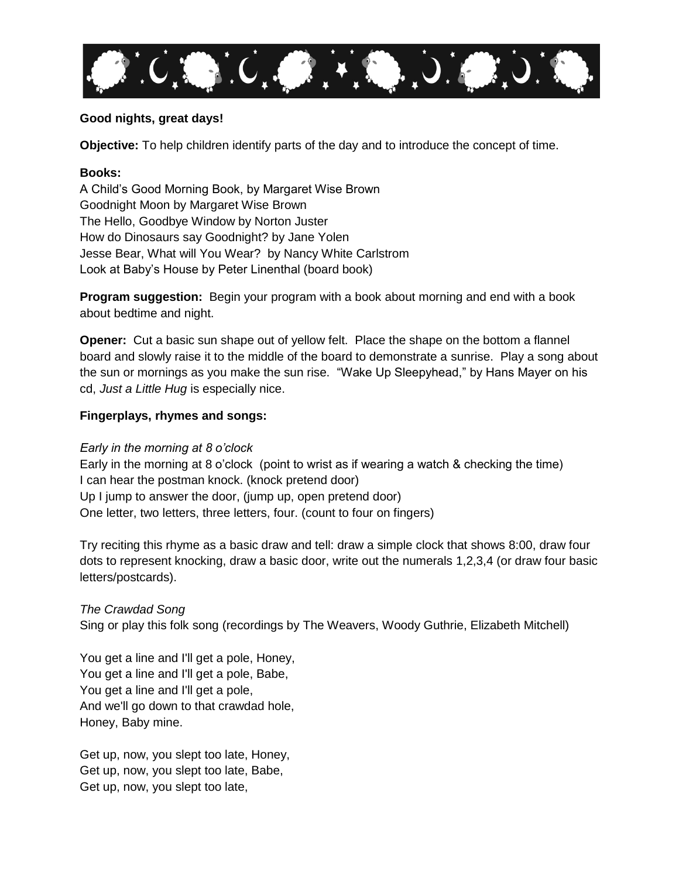

# **Good nights, great days!**

**Objective:** To help children identify parts of the day and to introduce the concept of time.

#### **Books:**

A Child's Good Morning Book, by Margaret Wise Brown Goodnight Moon by Margaret Wise Brown The Hello, Goodbye Window by Norton Juster How do Dinosaurs say Goodnight? by Jane Yolen Jesse Bear, What will You Wear? by Nancy White Carlstrom Look at Baby's House by Peter Linenthal (board book)

**Program suggestion:** Begin your program with a book about morning and end with a book about bedtime and night.

**Opener:** Cut a basic sun shape out of yellow felt. Place the shape on the bottom a flannel board and slowly raise it to the middle of the board to demonstrate a sunrise. Play a song about the sun or mornings as you make the sun rise. "Wake Up Sleepyhead," by Hans Mayer on his cd, *Just a Little Hug* is especially nice.

## **Fingerplays, rhymes and songs:**

*Early in the morning at 8 o'clock* 

Early in the morning at 8 o'clock (point to wrist as if wearing a watch & checking the time) I can hear the postman knock. (knock pretend door) Up I jump to answer the door, (jump up, open pretend door) One letter, two letters, three letters, four. (count to four on fingers)

Try reciting this rhyme as a basic draw and tell: draw a simple clock that shows 8:00, draw four dots to represent knocking, draw a basic door, write out the numerals 1,2,3,4 (or draw four basic letters/postcards).

*The Crawdad Song*

Sing or play this folk song (recordings by The Weavers, Woody Guthrie, Elizabeth Mitchell)

You get a line and I'll get a pole, Honey, You get a line and I'll get a pole, Babe, You get a line and I'll get a pole, And we'll go down to that crawdad hole, Honey, Baby mine.

Get up, now, you slept too late, Honey, Get up, now, you slept too late, Babe, Get up, now, you slept too late,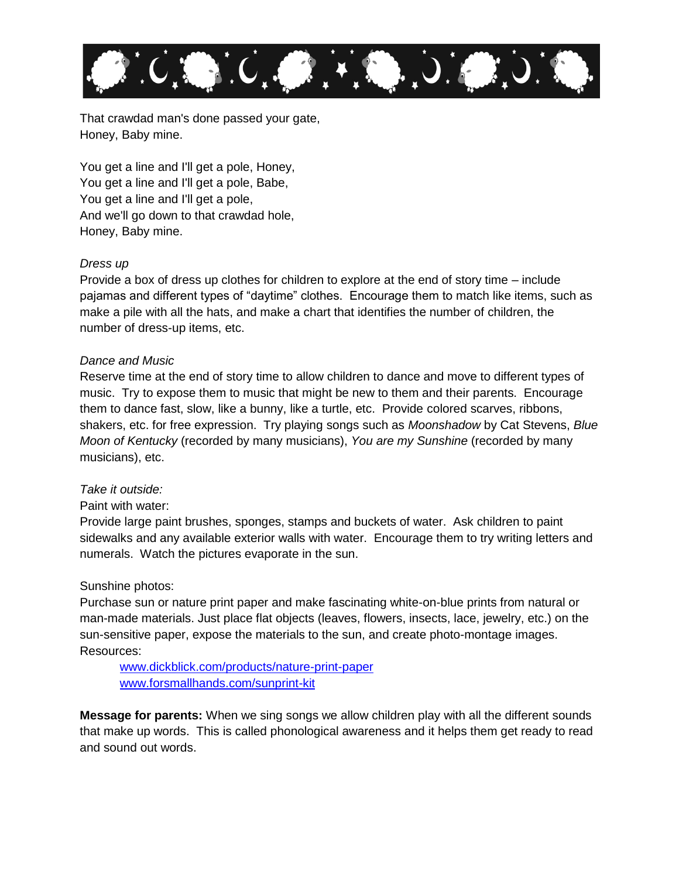

That crawdad man's done passed your gate, Honey, Baby mine.

You get a line and I'll get a pole, Honey, You get a line and I'll get a pole, Babe, You get a line and I'll get a pole, And we'll go down to that crawdad hole, Honey, Baby mine.

## *Dress up*

Provide a box of dress up clothes for children to explore at the end of story time – include pajamas and different types of "daytime" clothes. Encourage them to match like items, such as make a pile with all the hats, and make a chart that identifies the number of children, the number of dress-up items, etc.

#### *Dance and Music*

Reserve time at the end of story time to allow children to dance and move to different types of music. Try to expose them to music that might be new to them and their parents. Encourage them to dance fast, slow, like a bunny, like a turtle, etc. Provide colored scarves, ribbons, shakers, etc. for free expression. Try playing songs such as *Moonshadow* by Cat Stevens, *Blue Moon of Kentucky* (recorded by many musicians), *You are my Sunshine* (recorded by many musicians), etc.

#### *Take it outside:*

## Paint with water:

Provide large paint brushes, sponges, stamps and buckets of water. Ask children to paint sidewalks and any available exterior walls with water. Encourage them to try writing letters and numerals. Watch the pictures evaporate in the sun.

#### Sunshine photos:

Purchase sun or nature print paper and make fascinating white-on-blue prints from natural or man-made materials. Just place flat objects (leaves, flowers, insects, lace, jewelry, etc.) on the sun-sensitive paper, expose the materials to the sun, and create photo-montage images. Resources:

[www.dickblick.com/products/nature-print-paper](http://www.dickblick.com/products/nature-print-paper) [www.forsmallhands.com/sunprint-kit](http://www.forsmallhands.com/sunprint-kit)

**Message for parents:** When we sing songs we allow children play with all the different sounds that make up words. This is called phonological awareness and it helps them get ready to read and sound out words.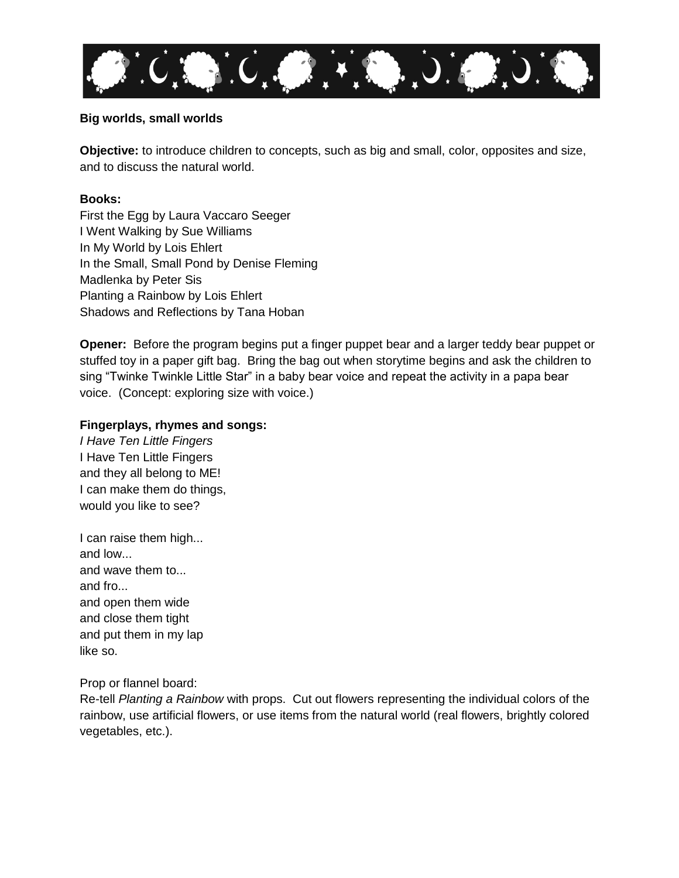

# **Big worlds, small worlds**

**Objective:** to introduce children to concepts, such as big and small, color, opposites and size, and to discuss the natural world.

# **Books:**

First the Egg by Laura Vaccaro Seeger I Went Walking by Sue Williams In My World by Lois Ehlert In the Small, Small Pond by Denise Fleming Madlenka by Peter Sis Planting a Rainbow by Lois Ehlert Shadows and Reflections by Tana Hoban

**Opener:** Before the program begins put a finger puppet bear and a larger teddy bear puppet or stuffed toy in a paper gift bag. Bring the bag out when storytime begins and ask the children to sing "Twinke Twinkle Little Star" in a baby bear voice and repeat the activity in a papa bear voice. (Concept: exploring size with voice.)

## **Fingerplays, rhymes and songs:**

*I Have Ten Little Fingers* I Have Ten Little Fingers and they all belong to ME! I can make them do things, would you like to see?

I can raise them high... and low... and wave them to... and fro... and open them wide and close them tight and put them in my lap like so.

## Prop or flannel board:

Re-tell *Planting a Rainbow* with props. Cut out flowers representing the individual colors of the rainbow, use artificial flowers, or use items from the natural world (real flowers, brightly colored vegetables, etc.).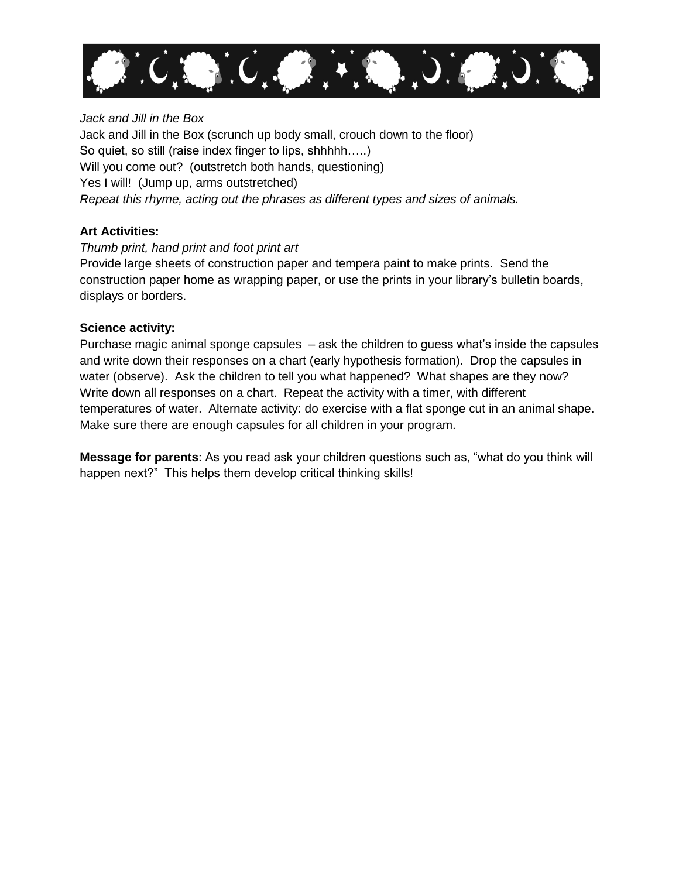

# *Jack and Jill in the Box*

Jack and Jill in the Box (scrunch up body small, crouch down to the floor) So quiet, so still (raise index finger to lips, shhhhh…..) Will you come out? (outstretch both hands, questioning) Yes I will! (Jump up, arms outstretched) *Repeat this rhyme, acting out the phrases as different types and sizes of animals.*

# **Art Activities:**

## *Thumb print, hand print and foot print art*

Provide large sheets of construction paper and tempera paint to make prints. Send the construction paper home as wrapping paper, or use the prints in your library's bulletin boards, displays or borders.

# **Science activity:**

Purchase magic animal sponge capsules – ask the children to guess what's inside the capsules and write down their responses on a chart (early hypothesis formation). Drop the capsules in water (observe). Ask the children to tell you what happened? What shapes are they now? Write down all responses on a chart. Repeat the activity with a timer, with different temperatures of water. Alternate activity: do exercise with a flat sponge cut in an animal shape. Make sure there are enough capsules for all children in your program.

**Message for parents**: As you read ask your children questions such as, "what do you think will happen next?" This helps them develop critical thinking skills!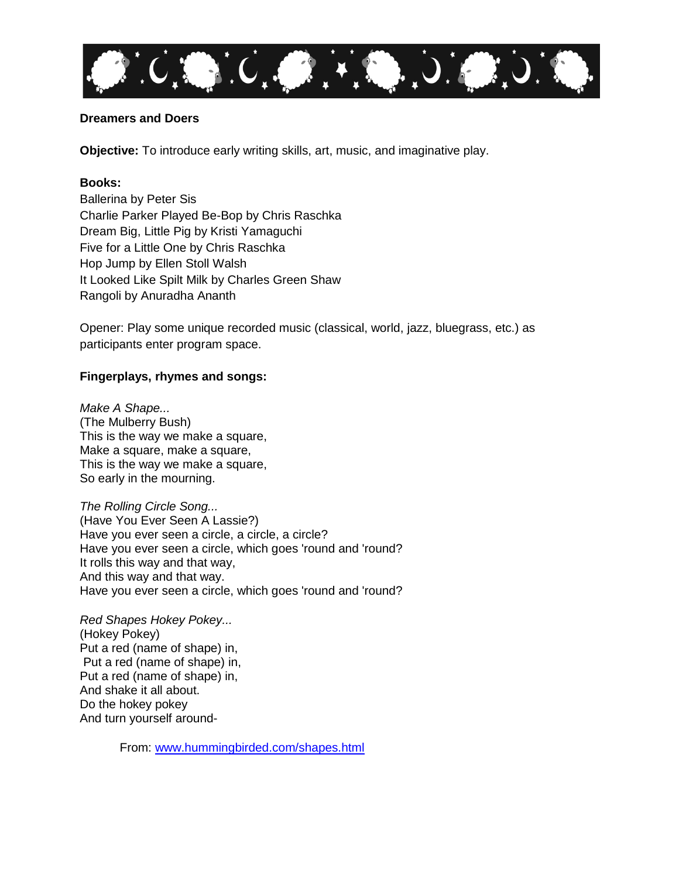

# **Dreamers and Doers**

**Objective:** To introduce early writing skills, art, music, and imaginative play.

## **Books:**

Ballerina by Peter Sis Charlie Parker Played Be-Bop by Chris Raschka Dream Big, Little Pig by Kristi Yamaguchi Five for a Little One by Chris Raschka Hop Jump by Ellen Stoll Walsh It Looked Like Spilt Milk by Charles Green Shaw Rangoli by Anuradha Ananth

Opener: Play some unique recorded music (classical, world, jazz, bluegrass, etc.) as participants enter program space.

# **Fingerplays, rhymes and songs:**

*Make A Shape...* (The Mulberry Bush) This is the way we make a square, Make a square, make a square, This is the way we make a square, So early in the mourning.

*The Rolling Circle Song...* (Have You Ever Seen A Lassie?) Have you ever seen a circle, a circle, a circle? Have you ever seen a circle, which goes 'round and 'round? It rolls this way and that way, And this way and that way. Have you ever seen a circle, which goes 'round and 'round?

*Red Shapes Hokey Pokey...* (Hokey Pokey) Put a red (name of shape) in, Put a red (name of shape) in, Put a red (name of shape) in, And shake it all about. Do the hokey pokey And turn yourself around-

From: [www.hummingbirded.com/shapes.html](http://www.hummingbirded.com/shapes.html)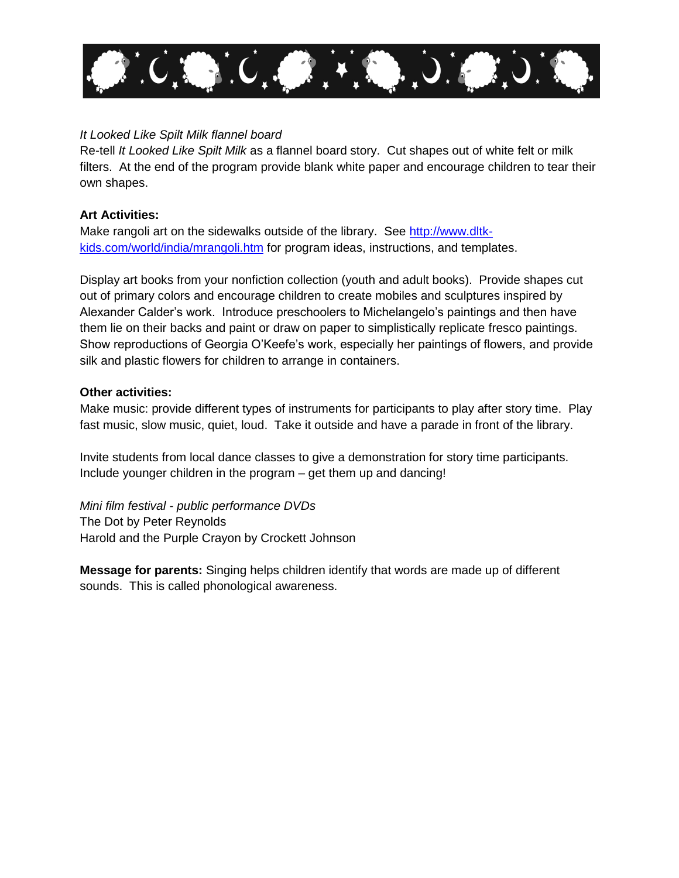

# *It Looked Like Spilt Milk flannel board*

Re-tell *It Looked Like Spilt Milk* as a flannel board story. Cut shapes out of white felt or milk filters. At the end of the program provide blank white paper and encourage children to tear their own shapes.

# **Art Activities:**

Make rangoli art on the sidewalks outside of the library. See [http://www.dltk](http://www.dltk-kids.com/world/india/mrangoli.htm)[kids.com/world/india/mrangoli.htm](http://www.dltk-kids.com/world/india/mrangoli.htm) for program ideas, instructions, and templates.

Display art books from your nonfiction collection (youth and adult books). Provide shapes cut out of primary colors and encourage children to create mobiles and sculptures inspired by Alexander Calder's work. Introduce preschoolers to Michelangelo's paintings and then have them lie on their backs and paint or draw on paper to simplistically replicate fresco paintings. Show reproductions of Georgia O'Keefe's work, especially her paintings of flowers, and provide silk and plastic flowers for children to arrange in containers.

## **Other activities:**

Make music: provide different types of instruments for participants to play after story time. Play fast music, slow music, quiet, loud. Take it outside and have a parade in front of the library.

Invite students from local dance classes to give a demonstration for story time participants. Include younger children in the program – get them up and dancing!

*Mini film festival - public performance DVDs* The Dot by Peter Reynolds Harold and the Purple Crayon by Crockett Johnson

**Message for parents:** Singing helps children identify that words are made up of different sounds. This is called phonological awareness.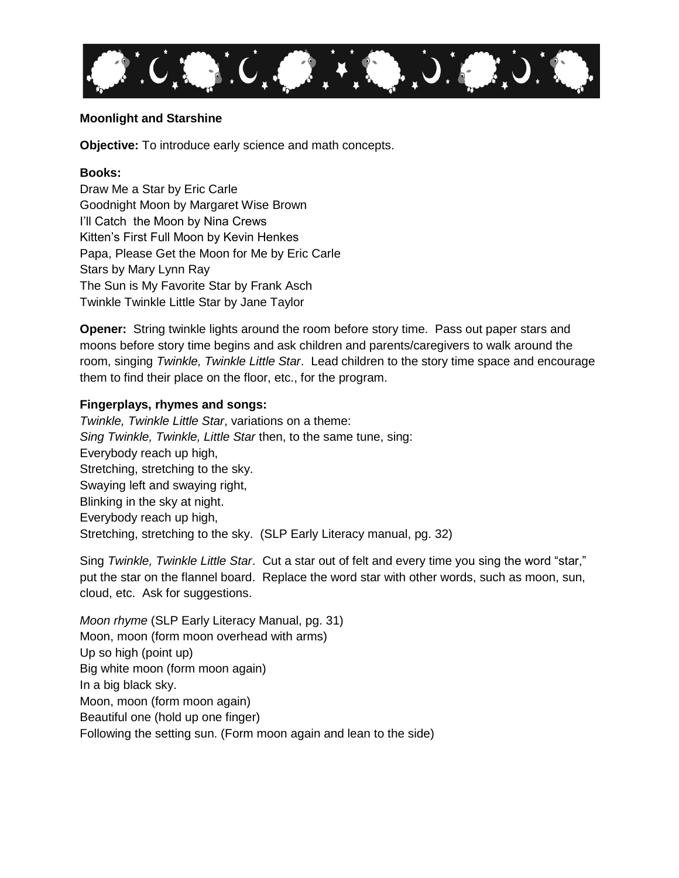

# **Moonlight and Starshine**

**Objective:** To introduce early science and math concepts.

#### **Books:**

Draw Me a Star by Eric Carle Goodnight Moon by Margaret Wise Brown I'll Catch the Moon by Nina Crews Kitten's First Full Moon by Kevin Henkes Papa, Please Get the Moon for Me by Eric Carle Stars by Mary Lynn Ray The Sun is My Favorite Star by Frank Asch Twinkle Twinkle Little Star by Jane Taylor

**Opener:** String twinkle lights around the room before story time. Pass out paper stars and moons before story time begins and ask children and parents/caregivers to walk around the room, singing *Twinkle, Twinkle Little Star*. Lead children to the story time space and encourage them to find their place on the floor, etc., for the program.

## **Fingerplays, rhymes and songs:**

*Twinkle, Twinkle Little Star*, variations on a theme: *Sing Twinkle, Twinkle, Little Star* then, to the same tune, sing: Everybody reach up high, Stretching, stretching to the sky. Swaying left and swaying right, Blinking in the sky at night. Everybody reach up high, Stretching, stretching to the sky. (SLP Early Literacy manual, pg. 32)

Sing *Twinkle, Twinkle Little Star*. Cut a star out of felt and every time you sing the word "star," put the star on the flannel board. Replace the word star with other words, such as moon, sun, cloud, etc. Ask for suggestions.

*Moon rhyme* (SLP Early Literacy Manual, pg. 31) Moon, moon (form moon overhead with arms) Up so high (point up) Big white moon (form moon again) In a big black sky. Moon, moon (form moon again) Beautiful one (hold up one finger) Following the setting sun. (Form moon again and lean to the side)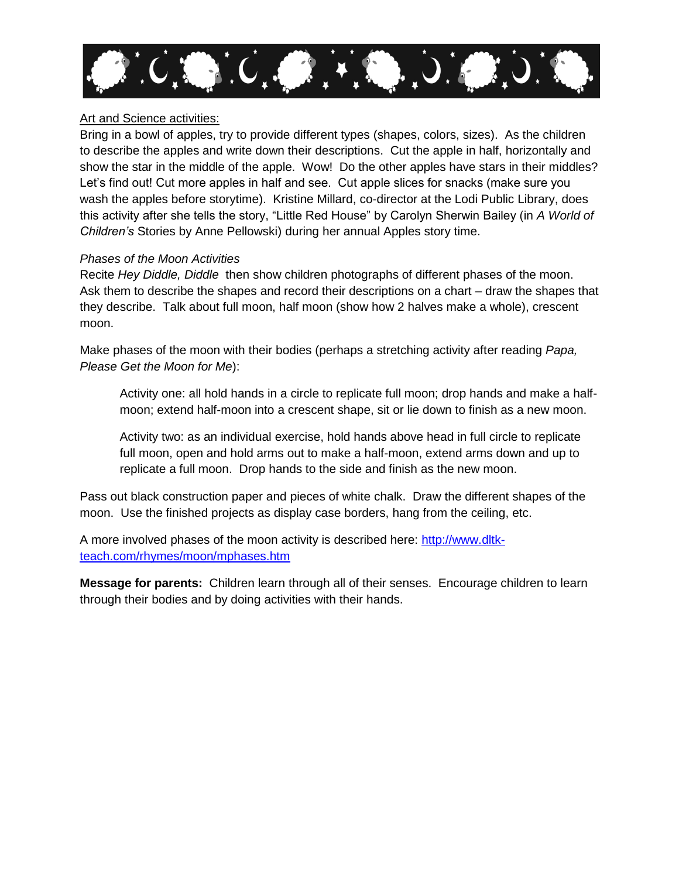

# Art and Science activities:

Bring in a bowl of apples, try to provide different types (shapes, colors, sizes). As the children to describe the apples and write down their descriptions. Cut the apple in half, horizontally and show the star in the middle of the apple. Wow! Do the other apples have stars in their middles? Let's find out! Cut more apples in half and see. Cut apple slices for snacks (make sure you wash the apples before storytime). Kristine Millard, co-director at the Lodi Public Library, does this activity after she tells the story, "Little Red House" by Carolyn Sherwin Bailey (in *A World of Children's* Stories by Anne Pellowski) during her annual Apples story time.

# *Phases of the Moon Activities*

Recite *Hey Diddle, Diddle* then show children photographs of different phases of the moon. Ask them to describe the shapes and record their descriptions on a chart – draw the shapes that they describe. Talk about full moon, half moon (show how 2 halves make a whole), crescent moon.

Make phases of the moon with their bodies (perhaps a stretching activity after reading *Papa, Please Get the Moon for Me*):

Activity one: all hold hands in a circle to replicate full moon; drop hands and make a halfmoon; extend half-moon into a crescent shape, sit or lie down to finish as a new moon.

Activity two: as an individual exercise, hold hands above head in full circle to replicate full moon, open and hold arms out to make a half-moon, extend arms down and up to replicate a full moon. Drop hands to the side and finish as the new moon.

Pass out black construction paper and pieces of white chalk. Draw the different shapes of the moon. Use the finished projects as display case borders, hang from the ceiling, etc.

A more involved phases of the moon activity is described here: [http://www.dltk](http://www.dltk-teach.com/rhymes/moon/mphases.htm)[teach.com/rhymes/moon/mphases.htm](http://www.dltk-teach.com/rhymes/moon/mphases.htm)

**Message for parents:** Children learn through all of their senses. Encourage children to learn through their bodies and by doing activities with their hands.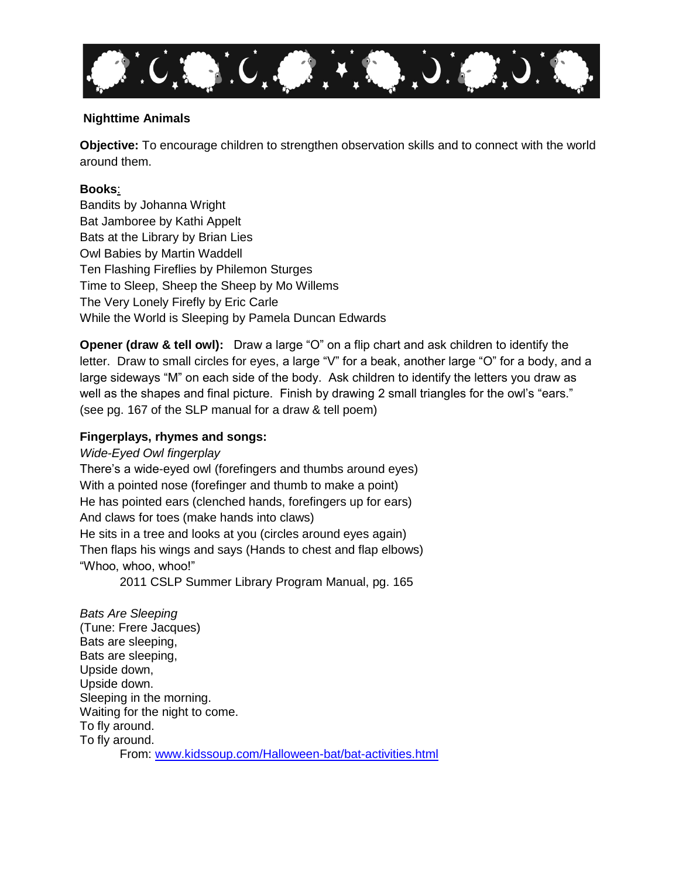

# **Nighttime Animals**

**Objective:** To encourage children to strengthen observation skills and to connect with the world around them.

# **Books**:

Bandits by Johanna Wright Bat Jamboree by Kathi Appelt Bats at the Library by Brian Lies Owl Babies by Martin Waddell Ten Flashing Fireflies by Philemon Sturges Time to Sleep, Sheep the Sheep by Mo Willems The Very Lonely Firefly by Eric Carle While the World is Sleeping by Pamela Duncan Edwards

**Opener (draw & tell owl):** Draw a large "O" on a flip chart and ask children to identify the letter. Draw to small circles for eyes, a large "V" for a beak, another large "O" for a body, and a large sideways "M" on each side of the body. Ask children to identify the letters you draw as well as the shapes and final picture. Finish by drawing 2 small triangles for the owl's "ears." (see pg. 167 of the SLP manual for a draw & tell poem)

# **Fingerplays, rhymes and songs:**

## *Wide-Eyed Owl fingerplay*

There's a wide-eyed owl (forefingers and thumbs around eyes) With a pointed nose (forefinger and thumb to make a point) He has pointed ears (clenched hands, forefingers up for ears) And claws for toes (make hands into claws) He sits in a tree and looks at you (circles around eyes again) Then flaps his wings and says (Hands to chest and flap elbows) "Whoo, whoo, whoo!"

2011 CSLP Summer Library Program Manual, pg. 165

*Bats Are Sleeping* (Tune: Frere Jacques) Bats are sleeping, Bats are sleeping, Upside down, Upside down. Sleeping in the morning. Waiting for the night to come. To fly around. To fly around. From: [www.kidssoup.com/Halloween-bat/bat-activities.html](http://www.kidssoup.com/Halloween-bat/bat-activities.html)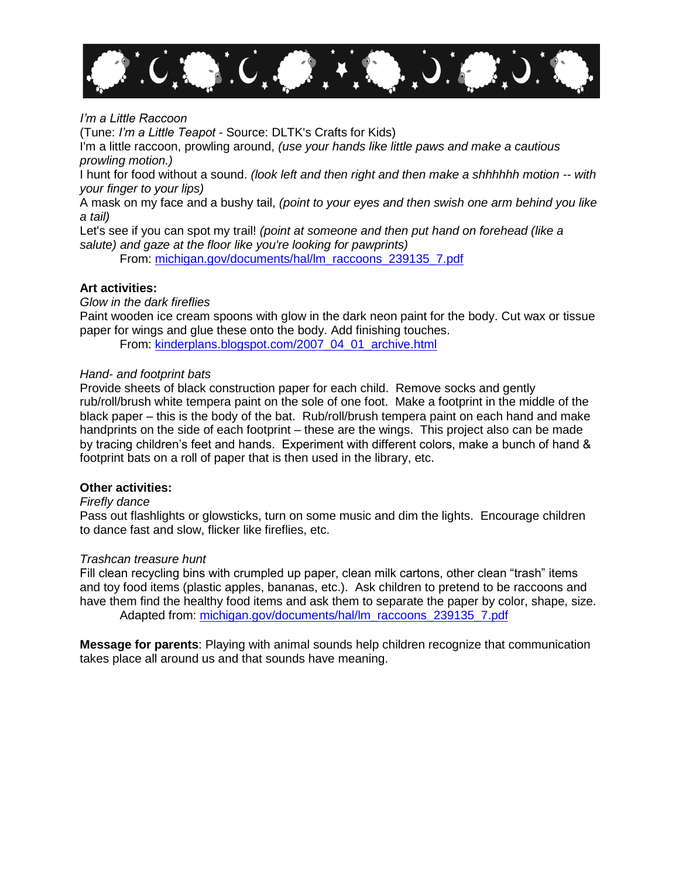

#### *I'm a Little Raccoon*

(Tune: *I'm a Little Teapot* - Source: DLTK's Crafts for Kids)

I'm a little raccoon, prowling around, *(use your hands like little paws and make a cautious prowling motion.)* 

I hunt for food without a sound. *(look left and then right and then make a shhhhhh motion -- with your finger to your lips)* 

A mask on my face and a bushy tail, *(point to your eyes and then swish one arm behind you like a tail)* 

Let's see if you can spot my trail! *(point at someone and then put hand on forehead (like a salute) and gaze at the floor like you're looking for pawprints)*

From: [michigan.gov/documents/hal/lm\\_raccoons\\_239135\\_7.pdf](http://michigan.gov/documents/hal/lm_raccoons_239135_7.pdf)

# **Art activities:**

*Glow in the dark fireflies*

Paint wooden ice cream spoons with glow in the dark neon paint for the body. Cut wax or tissue paper for wings and glue these onto the body. Add finishing touches.

From: [kinderplans.blogspot.com/2007\\_04\\_01\\_archive.html](http://kinderplans.blogspot.com/2007_04_01_archive.html)

#### *Hand- and footprint bats*

Provide sheets of black construction paper for each child. Remove socks and gently rub/roll/brush white tempera paint on the sole of one foot. Make a footprint in the middle of the black paper – this is the body of the bat. Rub/roll/brush tempera paint on each hand and make handprints on the side of each footprint – these are the wings. This project also can be made by tracing children's feet and hands. Experiment with different colors, make a bunch of hand & footprint bats on a roll of paper that is then used in the library, etc.

#### **Other activities:**

#### *Firefly dance*

Pass out flashlights or glowsticks, turn on some music and dim the lights. Encourage children to dance fast and slow, flicker like fireflies, etc.

#### *Trashcan treasure hunt*

Fill clean recycling bins with crumpled up paper, clean milk cartons, other clean "trash" items and toy food items (plastic apples, bananas, etc.). Ask children to pretend to be raccoons and have them find the healthy food items and ask them to separate the paper by color, shape, size. Adapted from: [michigan.gov/documents/hal/lm\\_raccoons\\_239135\\_7.pdf](http://michigan.gov/documents/hal/lm_raccoons_239135_7.pdf)

**Message for parents**: Playing with animal sounds help children recognize that communication takes place all around us and that sounds have meaning.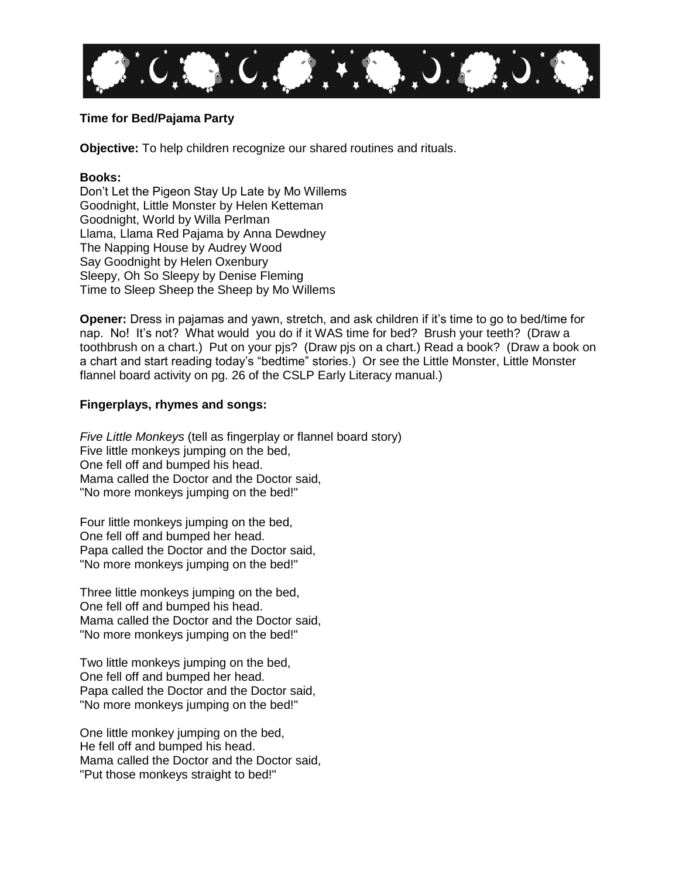

# **Time for Bed/Pajama Party**

**Objective:** To help children recognize our shared routines and rituals.

#### **Books:**

Don't Let the Pigeon Stay Up Late by Mo Willems Goodnight, Little Monster by Helen Ketteman Goodnight, World by Willa Perlman Llama, Llama Red Pajama by Anna Dewdney The Napping House by Audrey Wood Say Goodnight by Helen Oxenbury Sleepy, Oh So Sleepy by Denise Fleming Time to Sleep Sheep the Sheep by Mo Willems

**Opener:** Dress in pajamas and yawn, stretch, and ask children if it's time to go to bed/time for nap. No! It's not? What would you do if it WAS time for bed? Brush your teeth? (Draw a toothbrush on a chart.) Put on your pjs? (Draw pjs on a chart.) Read a book? (Draw a book on a chart and start reading today's "bedtime" stories.) Or see the Little Monster, Little Monster flannel board activity on pg. 26 of the CSLP Early Literacy manual.)

## **Fingerplays, rhymes and songs:**

*Five Little Monkeys* (tell as fingerplay or flannel board story) Five little monkeys jumping on the bed, One fell off and bumped his head. Mama called the Doctor and the Doctor said, "No more monkeys jumping on the bed!"

Four little monkeys jumping on the bed, One fell off and bumped her head. Papa called the Doctor and the Doctor said, "No more monkeys jumping on the bed!"

Three little monkeys jumping on the bed, One fell off and bumped his head. Mama called the Doctor and the Doctor said, "No more monkeys jumping on the bed!"

Two little monkeys jumping on the bed, One fell off and bumped her head. Papa called the Doctor and the Doctor said, "No more monkeys jumping on the bed!"

One little monkey jumping on the bed, He fell off and bumped his head. Mama called the Doctor and the Doctor said, "Put those monkeys straight to bed!"